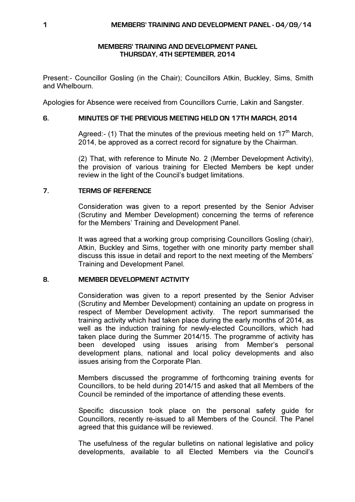# MEMBERS' TRAINING AND DEVELOPMENT PANEL THURSDAY, 4TH SEPTEMBER, 2014

Present:- Councillor Gosling (in the Chair); Councillors Atkin, Buckley, Sims, Smith and Whelbourn.

Apologies for Absence were received from Councillors Currie, Lakin and Sangster.

# 6. MINUTES OF THE PREVIOUS MEETING HELD ON 17TH MARCH, 2014

Agreed:- (1) That the minutes of the previous meeting held on  $17<sup>th</sup>$  March. 2014, be approved as a correct record for signature by the Chairman.

(2) That, with reference to Minute No. 2 (Member Development Activity), the provision of various training for Elected Members be kept under review in the light of the Council's budget limitations.

# 7. TERMS OF REFERENCE

Consideration was given to a report presented by the Senior Adviser (Scrutiny and Member Development) concerning the terms of reference for the Members' Training and Development Panel.

It was agreed that a working group comprising Councillors Gosling (chair), Atkin, Buckley and Sims, together with one minority party member shall discuss this issue in detail and report to the next meeting of the Members' Training and Development Panel.

# 8. MEMBER DEVELOPMENT ACTIVITY

Consideration was given to a report presented by the Senior Adviser (Scrutiny and Member Development) containing an update on progress in respect of Member Development activity. The report summarised the training activity which had taken place during the early months of 2014, as well as the induction training for newly-elected Councillors, which had taken place during the Summer 2014/15. The programme of activity has been developed using issues arising from Member's personal development plans, national and local policy developments and also issues arising from the Corporate Plan.

Members discussed the programme of forthcoming training events for Councillors, to be held during 2014/15 and asked that all Members of the Council be reminded of the importance of attending these events.

Specific discussion took place on the personal safety guide for Councillors, recently re-issued to all Members of the Council. The Panel agreed that this guidance will be reviewed.

The usefulness of the regular bulletins on national legislative and policy developments, available to all Elected Members via the Council's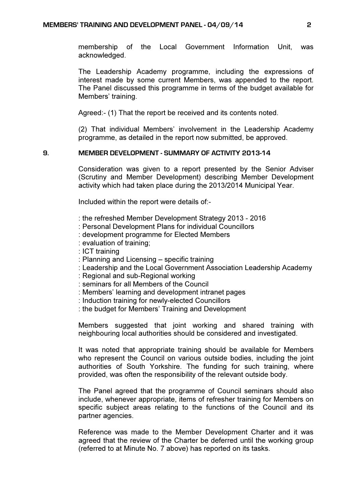membership of the Local Government Information Unit, was acknowledged.

The Leadership Academy programme, including the expressions of interest made by some current Members, was appended to the report. The Panel discussed this programme in terms of the budget available for Members' training.

Agreed:- (1) That the report be received and its contents noted.

(2) That individual Members' involvement in the Leadership Academy programme, as detailed in the report now submitted, be approved.

#### 9. MEMBER DEVELOPMENT - SUMMARY OF ACTIVITY 2013-14

Consideration was given to a report presented by the Senior Adviser (Scrutiny and Member Development) describing Member Development activity which had taken place during the 2013/2014 Municipal Year.

Included within the report were details of:-

- : the refreshed Member Development Strategy 2013 2016
- : Personal Development Plans for individual Councillors
- : development programme for Elected Members
- : evaluation of training;
- : ICT training
- : Planning and Licensing specific training
- : Leadership and the Local Government Association Leadership Academy
- : Regional and sub-Regional working
- : seminars for all Members of the Council
- : Members' learning and development intranet pages
- : Induction training for newly-elected Councillors
- : the budget for Members' Training and Development

Members suggested that joint working and shared training with neighbouring local authorities should be considered and investigated.

It was noted that appropriate training should be available for Members who represent the Council on various outside bodies, including the joint authorities of South Yorkshire. The funding for such training, where provided, was often the responsibility of the relevant outside body.

The Panel agreed that the programme of Council seminars should also include, whenever appropriate, items of refresher training for Members on specific subject areas relating to the functions of the Council and its partner agencies.

Reference was made to the Member Development Charter and it was agreed that the review of the Charter be deferred until the working group (referred to at Minute No. 7 above) has reported on its tasks.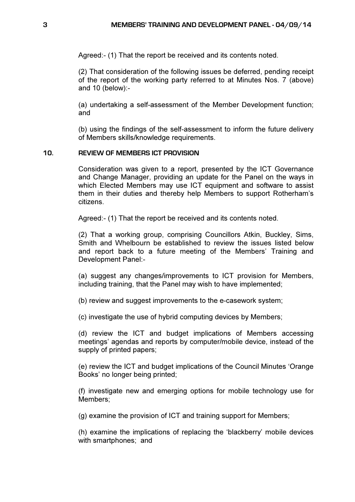Agreed:- (1) That the report be received and its contents noted.

(2) That consideration of the following issues be deferred, pending receipt of the report of the working party referred to at Minutes Nos. 7 (above) and 10 (below):-

(a) undertaking a self-assessment of the Member Development function; and

(b) using the findings of the self-assessment to inform the future delivery of Members skills/knowledge requirements.

#### 10. REVIEW OF MEMBERS ICT PROVISION

Consideration was given to a report, presented by the ICT Governance and Change Manager, providing an update for the Panel on the ways in which Elected Members may use ICT equipment and software to assist them in their duties and thereby help Members to support Rotherham's citizens.

Agreed:- (1) That the report be received and its contents noted.

(2) That a working group, comprising Councillors Atkin, Buckley, Sims, Smith and Whelbourn be established to review the issues listed below and report back to a future meeting of the Members' Training and Development Panel:-

(a) suggest any changes/improvements to ICT provision for Members, including training, that the Panel may wish to have implemented;

(b) review and suggest improvements to the e-casework system;

(c) investigate the use of hybrid computing devices by Members;

(d) review the ICT and budget implications of Members accessing meetings' agendas and reports by computer/mobile device, instead of the supply of printed papers;

(e) review the ICT and budget implications of the Council Minutes 'Orange Books' no longer being printed;

(f) investigate new and emerging options for mobile technology use for Members;

(g) examine the provision of ICT and training support for Members;

(h) examine the implications of replacing the 'blackberry' mobile devices with smartphones; and